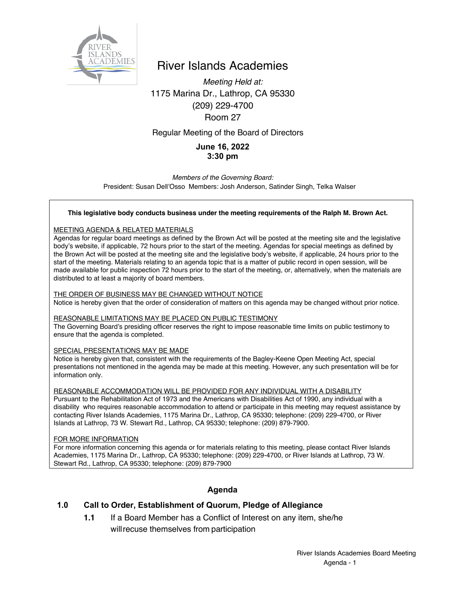

# River Islands Academies

*Meeting Held at:* 1175 Marina Dr., Lathrop, CA 95330 (209) 229-4700 Room 27

### Regular Meeting of the Board of Directors

## **June 16, 2022 3:30 pm**

*Members of the Governing Board:* President: Susan Dell'Osso Members: Josh Anderson, Satinder Singh, Telka Walser

#### **This legislative body conducts business under the meeting requirements of the Ralph M. Brown Act.**

#### MEETING AGENDA & RELATED MATERIALS

Agendas for regular board meetings as defined by the Brown Act will be posted at the meeting site and the legislative body's website, if applicable, 72 hours prior to the start of the meeting. Agendas for special meetings as defined by the Brown Act will be posted at the meeting site and the legislative body's website, if applicable, 24 hours prior to the start of the meeting. Materials relating to an agenda topic that is a matter of public record in open session, will be made available for public inspection 72 hours prior to the start of the meeting, or, alternatively, when the materials are distributed to at least a majority of board members.

#### THE ORDER OF BUSINESS MAY BE CHANGED WITHOUT NOTICE

Notice is hereby given that the order of consideration of matters on this agenda may be changed without prior notice.

#### REASONABLE LIMITATIONS MAY BE PLACED ON PUBLIC TESTIMONY

The Governing Board's presiding officer reserves the right to impose reasonable time limits on public testimony to ensure that the agenda is completed.

#### SPECIAL PRESENTATIONS MAY BE MADE

Notice is hereby given that, consistent with the requirements of the Bagley-Keene Open Meeting Act, special presentations not mentioned in the agenda may be made at this meeting. However, any such presentation will be for information only.

#### REASONABLE ACCOMMODATION WILL BE PROVIDED FOR ANY INDIVIDUAL WITH A DISABILITY

Pursuant to the Rehabilitation Act of 1973 and the Americans with Disabilities Act of 1990, any individual with a disability who requires reasonable accommodation to attend or participate in this meeting may request assistance by contacting River Islands Academies, 1175 Marina Dr., Lathrop, CA 95330; telephone: (209) 229-4700, or River Islands at Lathrop, 73 W. Stewart Rd., Lathrop, CA 95330; telephone: (209) 879-7900.

#### FOR MORE INFORMATION

For more information concerning this agenda or for materials relating to this meeting, please contact River Islands Academies, 1175 Marina Dr., Lathrop, CA 95330; telephone: (209) 229-4700, or River Islands at Lathrop, 73 W. Stewart Rd., Lathrop, CA 95330; telephone: (209) 879-7900

### **Agenda**

### **1.0 Call to Order, Establishment of Quorum, Pledge of Allegiance**

**1.1** If a Board Member has a Conflict of Interest on any item, she/he willrecuse themselves from participation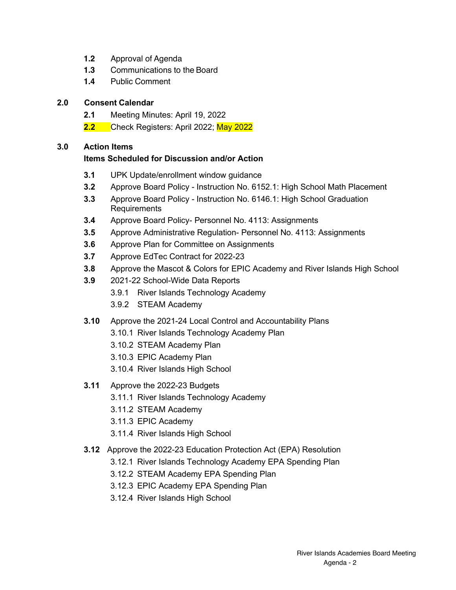- **1.2** Approval of Agenda
- **1.3** Communications to the Board
- **1.4** Public Comment

# **2.0 Consent Calendar**

- **2.1** Meeting Minutes: April 19, 2022
- **2.2** Check Registers: April 2022; May 2022

# **3.0 Action Items**

# **Items Scheduled for Discussion and/or Action**

- **3.1** UPK Update/enrollment window guidance
- **3.2** Approve Board Policy Instruction No. 6152.1: High School Math Placement
- **3.3** Approve Board Policy Instruction No. 6146.1: High School Graduation Requirements
- **3.4** Approve Board Policy- Personnel No. 4113: Assignments
- **3.5** Approve Administrative Regulation- Personnel No. 4113: Assignments
- **3.6** Approve Plan for Committee on Assignments
- **3.7** Approve EdTec Contract for 2022-23
- **3.8** Approve the Mascot & Colors for EPIC Academy and River Islands High School
- **3.9** 2021-22 School-Wide Data Reports
	- 3.9.1 River Islands Technology Academy
	- 3.9.2 STEAM Academy
- **3.10** Approve the 2021-24 Local Control and Accountability Plans
	- 3.10.1 River Islands Technology Academy Plan
	- 3.10.2 STEAM Academy Plan
	- 3.10.3 EPIC Academy Plan
	- 3.10.4 River Islands High School
- **3.11** Approve the 2022-23 Budgets
	- 3.11.1 River Islands Technology Academy
	- 3.11.2 STEAM Academy
	- 3.11.3 EPIC Academy
	- 3.11.4 River Islands High School
- **3.12** Approve the 2022-23 Education Protection Act (EPA) Resolution
	- 3.12.1 River Islands Technology Academy EPA Spending Plan
	- 3.12.2 STEAM Academy EPA Spending Plan
	- 3.12.3 EPIC Academy EPA Spending Plan
	- 3.12.4 River Islands High School